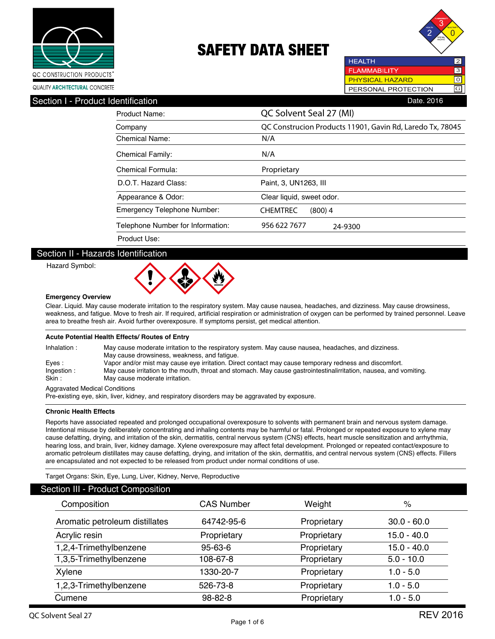



**HEALTH**  $\overline{2}$ **FLAMMABILITY**  $\overline{3}$ **PHYSICAL HAZARD** ल PERSONAL PROTECTION G

| Section I - Product Identification | Date, 2016                                                |
|------------------------------------|-----------------------------------------------------------|
| <b>Product Name:</b>               | QC Solvent Seal 27 (MI)                                   |
| Company                            | QC Construcion Products 11901, Gavin Rd, Laredo Tx, 78045 |
| Chemical Name:                     | N/A                                                       |
| <b>Chemical Family:</b>            | N/A                                                       |
| Chemical Formula:                  | Proprietary                                               |
| D.O.T. Hazard Class:               | Paint, 3, UN1263, III                                     |
| Appearance & Odor:                 | Clear liquid, sweet odor.                                 |
| <b>Emergency Telephone Number:</b> | <b>CHEMTREC</b><br>$(800)$ 4                              |
| Telephone Number for Information:  | 956 622 7677<br>24-9300                                   |
| Product Use:                       |                                                           |

### Section II - Hazards Identification

Hazard Symbol:



#### **Emergency Overview**

Clear. Liquid. May cause moderate irritation to the respiratory system. May cause nausea, headaches, and dizziness. May cause drowsiness, weakness, and fatigue. Move to fresh air. If required, artificial respiration or administration of oxygen can be performed by trained personnel. Leave area to breathe fresh air. Avoid further overexposure. If symptoms persist, get medical attention.

#### **Acute Potential Health Effects/ Routes of Entry**

| Inhalation:                          | May cause moderate irritation to the respiratory system. May cause nausea, headaches, and dizziness.               |  |  |
|--------------------------------------|--------------------------------------------------------------------------------------------------------------------|--|--|
|                                      | May cause drowsiness, weakness, and fatique.                                                                       |  |  |
| Eves:                                | Vapor and/or mist may cause eye irritation. Direct contact may cause temporary redness and discomfort.             |  |  |
| Ingestion:                           | May cause irritation to the mouth, throat and stomach. May cause gastrointestinalirritation, nausea, and vomiting. |  |  |
| Skin :                               | May cause moderate irritation.                                                                                     |  |  |
| <b>Aggravated Medical Conditions</b> |                                                                                                                    |  |  |

Pre-existing eye, skin, liver, kidney, and respiratory disorders may be aggravated by exposure.

#### **Chronic Health Effects**

Reports have associated repeated and prolonged occupational overexposure to solvents with permanent brain and nervous system damage. Intentional misuse by deliberately concentrating and inhaling contents may be harmful or fatal. Prolonged or repeated exposure to xylene may cause defatting, drying, and irritation of the skin, dermatitis, central nervous system (CNS) effects, heart muscle sensitization and arrhythmia, hearing loss, and brain, liver, kidney damage. Xylene overexposure may affect fetal development. Prolonged or repeated contact/exposure to aromatic petroleum distillates may cause defatting, drying, and irritation of the skin, dermatitis, and central nervous system (CNS) effects. Fillers are encapsulated and not expected to be released from product under normal conditions of use.

Target Organs: Skin, Eye, Lung, Liver, Kidney, Nerve, Reproductive

### Section III - Product Composition

| SUNDIT III - FTUUUUL UUHIPUSNIUH |                   |             |               |  |
|----------------------------------|-------------------|-------------|---------------|--|
| Composition                      | <b>CAS Number</b> | Weight      | %             |  |
| Aromatic petroleum distillates   | 64742-95-6        | Proprietary | $30.0 - 60.0$ |  |
| Acrylic resin                    | Proprietary       | Proprietary | $15.0 - 40.0$ |  |
| 1,2,4-Trimethylbenzene           | 95-63-6           | Proprietary | 15.0 - 40.0   |  |
| 1,3,5-Trimethylbenzene           | 108-67-8          | Proprietary | $5.0 - 10.0$  |  |
| Xylene                           | 1330-20-7         | Proprietary | $1.0 - 5.0$   |  |
| 1,2,3-Trimethylbenzene           | 526-73-8          | Proprietary | $1.0 - 5.0$   |  |
| Cumene                           | 98-82-8           | Proprietary | $1.0 - 5.0$   |  |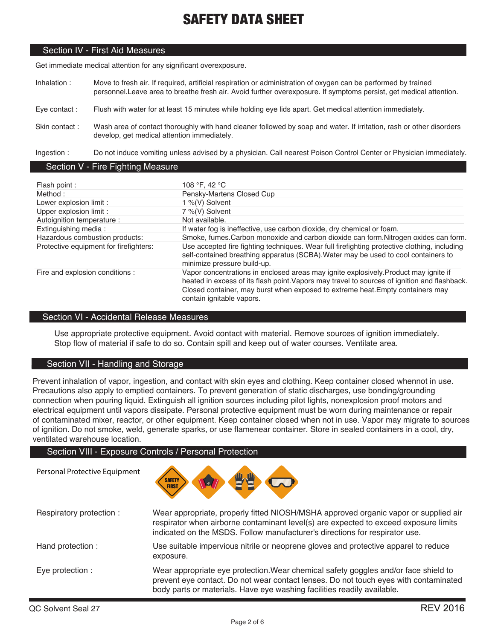### Section IV - First Aid Measures

Get immediate medical attention for any significant overexposure.

- Inhalation : Move to fresh air. If required, artificial respiration or administration of oxygen can be performed by trained personnel.Leave area to breathe fresh air. Avoid further overexposure. If symptoms persist, get medical attention.
- Eye contact : Flush with water for at least 15 minutes while holding eye lids apart. Get medical attention immediately.
- Skin contact : Wash area of contact thoroughly with hand cleaner followed by soap and water. If irritation, rash or other disorders develop, get medical attention immediately.

Ingestion : Do not induce vomiting unless advised by a physician. Call nearest Poison Control Center or Physician immediately.

### Section V - Fire Fighting Measure

| Flash point :                          | 108 °F, 42 °C                                                                                                                                                                                                                                                                                       |
|----------------------------------------|-----------------------------------------------------------------------------------------------------------------------------------------------------------------------------------------------------------------------------------------------------------------------------------------------------|
| Method:                                | Pensky-Martens Closed Cup                                                                                                                                                                                                                                                                           |
| Lower explosion limit :                | 1 %(V) Solvent                                                                                                                                                                                                                                                                                      |
| Upper explosion limit :                | 7 %(V) Solvent                                                                                                                                                                                                                                                                                      |
| Autoignition temperature :             | Not available.                                                                                                                                                                                                                                                                                      |
| Extinguishing media:                   | If water fog is ineffective, use carbon dioxide, dry chemical or foam.                                                                                                                                                                                                                              |
| Hazardous combustion products:         | Smoke, fumes. Carbon monoxide and carbon dioxide can form. Nitrogen oxides can form.                                                                                                                                                                                                                |
| Protective equipment for firefighters: | Use accepted fire fighting techniques. Wear full firefighting protective clothing, including<br>self-contained breathing apparatus (SCBA). Water may be used to cool containers to<br>minimize pressure build-up.                                                                                   |
| Fire and explosion conditions :        | Vapor concentrations in enclosed areas may ignite explosively. Product may ignite if<br>heated in excess of its flash point. Vapors may travel to sources of ignition and flashback.<br>Closed container, may burst when exposed to extreme heat. Empty containers may<br>contain ignitable vapors. |

### Section VI - Accidental Release Measures

Use appropriate protective equipment. Avoid contact with material. Remove sources of ignition immediately. Stop flow of material if safe to do so. Contain spill and keep out of water courses. Ventilate area.

### Section VII - Handling and Storage

Personal Protective Equipment

Prevent inhalation of vapor, ingestion, and contact with skin eyes and clothing. Keep container closed whennot in use. Precautions also apply to emptied containers. To prevent generation of static discharges, use bonding/grounding connection when pouring liquid. Extinguish all ignition sources including pilot lights, nonexplosion proof motors and electrical equipment until vapors dissipate. Personal protective equipment must be worn during maintenance or repair of contaminated mixer, reactor, or other equipment. Keep container closed when not in use. Vapor may migrate to sources of ignition. Do not smoke, weld, generate sparks, or use flamenear container. Store in sealed containers in a cool, dry, ventilated warehouse location.

### Section VIII - Exposure Controls / Personal Protection



| Respiratory protection: | Wear appropriate, properly fitted NIOSH/MSHA approved organic vapor or supplied air<br>respirator when airborne contaminant level(s) are expected to exceed exposure limits<br>indicated on the MSDS. Follow manufacturer's directions for respirator use. |
|-------------------------|------------------------------------------------------------------------------------------------------------------------------------------------------------------------------------------------------------------------------------------------------------|
| Hand protection :       | Use suitable impervious nitrile or neoprene gloves and protective apparel to reduce<br>exposure.                                                                                                                                                           |
| Eye protection :        | Wear appropriate eye protection. Wear chemical safety goggles and/or face shield to<br>prevent eye contact. Do not wear contact lenses. Do not touch eyes with contaminated<br>body parts or materials. Have eye washing facilities readily available.     |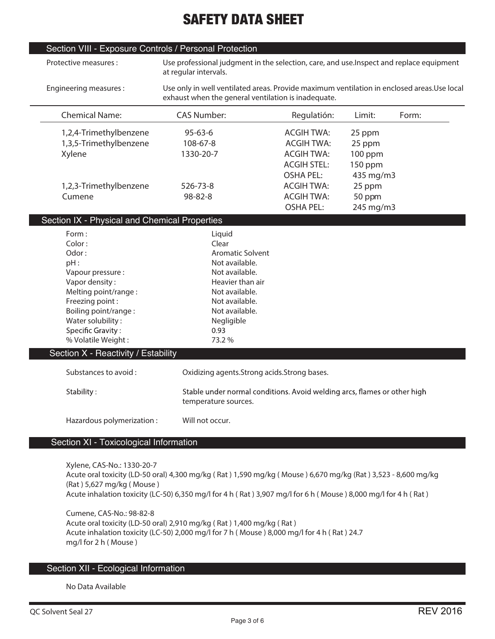|                                                     |                                                                                            | Use professional judgment in the selection, care, and use. Inspect and replace equipment                                                                                                 |
|-----------------------------------------------------|--------------------------------------------------------------------------------------------|------------------------------------------------------------------------------------------------------------------------------------------------------------------------------------------|
| exhaust when the general ventilation is inadequate. | Use only in well ventilated areas. Provide maximum ventilation in enclosed areas.Use local |                                                                                                                                                                                          |
| Regulatión:                                         | Limit:                                                                                     | Form:                                                                                                                                                                                    |
| <b>ACGIH TWA:</b>                                   | 25 ppm                                                                                     |                                                                                                                                                                                          |
| <b>ACGIH TWA:</b>                                   | 25 ppm                                                                                     |                                                                                                                                                                                          |
| <b>ACGIH TWA:</b>                                   | $100$ ppm                                                                                  |                                                                                                                                                                                          |
| <b>ACGIH STEL:</b>                                  | 150 ppm                                                                                    |                                                                                                                                                                                          |
| <b>OSHA PEL:</b>                                    | 435 mg/m3                                                                                  |                                                                                                                                                                                          |
| <b>ACGIH TWA:</b>                                   | 25 ppm                                                                                     |                                                                                                                                                                                          |
| <b>ACGIH TWA:</b>                                   | 50 ppm                                                                                     |                                                                                                                                                                                          |
| <b>OSHA PEL:</b>                                    | 245 mg/m3                                                                                  |                                                                                                                                                                                          |
|                                                     |                                                                                            |                                                                                                                                                                                          |
|                                                     |                                                                                            |                                                                                                                                                                                          |
| Oxidizing agents. Strong acids. Strong bases.       |                                                                                            |                                                                                                                                                                                          |
|                                                     |                                                                                            |                                                                                                                                                                                          |
|                                                     |                                                                                            |                                                                                                                                                                                          |
|                                                     |                                                                                            |                                                                                                                                                                                          |
|                                                     |                                                                                            |                                                                                                                                                                                          |
|                                                     |                                                                                            | Stable under normal conditions. Avoid welding arcs, flames or other high<br>Acute oral toxicity (LD-50 oral) 4,300 mg/kg (Rat) 1,590 mg/kg (Mouse) 6,670 mg/kg (Rat) 3,523 - 8,600 mg/kg |

**(Rat ) 5,627 mg/kg ( Mouse )**

**Acute inhalation toxicity (LC-50) 6,350 mg/l for 4 h ( Rat ) 3,907 mg/l for 6 h ( Mouse ) 8,000 mg/l for 4 h ( Rat )**

**Cumene, CAS-No.: 98-82-8 Acute oral toxicity (LD-50 oral) 2,910 mg/kg ( Rat ) 1,400 mg/kg ( Rat ) Acute inhalation toxicity (LC-50) 2,000 mg/l for 7 h ( Mouse ) 8,000 mg/l for 4 h ( Rat ) 24.7 mg/l for 2 h ( Mouse )**

### Section XII - Ecological Information

**No Data Available**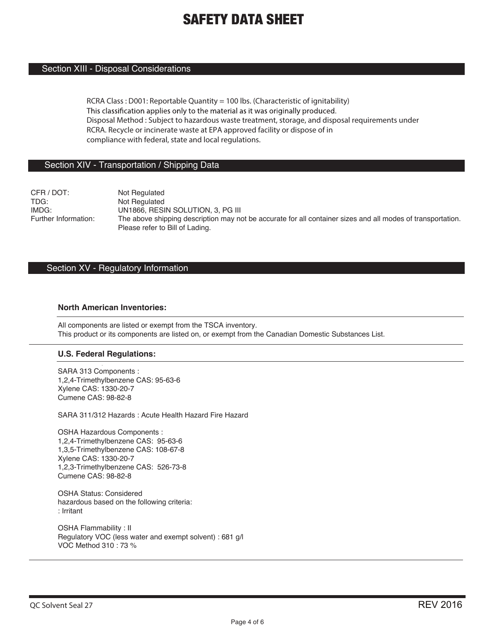### Section XIII - Disposal Considerations

**RCRA Class : D001: Reportable Quantity = 100 lbs. (Characteristic of ignitability)** This classification applies only to the material as it was originally produced. **Disposal Method : Subject to hazardous waste treatment, storage, and disposal requirements under RCRA. Recycle or incinerate waste at EPA approved facility or dispose of in compliance with federal, state and local regulations.**

### Section XIV - Transportation / Shipping Data

CFR / DOT: Not Regulated<br>TDG: Not Regulated Not Regulated IMDG: UN1866, RESIN SOLUTION, 3, PG III<br>Further Information: The above shipping description may no The above shipping description may not be accurate for all container sizes and all modes of transportation. Please refer to Bill of Lading.

### Section XV - Regulatory Information

### **North American Inventories:**

All components are listed or exempt from the TSCA inventory. This product or its components are listed on, or exempt from the Canadian Domestic Substances List.

### **U.S. Federal Regulations:**

SARA 313 Components : 1,2,4-Trimethylbenzene CAS: 95-63-6 Xylene CAS: 1330-20-7 Cumene CAS: 98-82-8

SARA 311/312 Hazards : Acute Health Hazard Fire Hazard

OSHA Hazardous Components : 1,2,4-Trimethylbenzene CAS: 95-63-6 1,3,5-Trimethylbenzene CAS: 108-67-8 Xylene CAS: 1330-20-7 1,2,3-Trimethylbenzene CAS: 526-73-8 Cumene CAS: 98-82-8

OSHA Status: Considered hazardous based on the following criteria: : Irritant

OSHA Flammability : II Regulatory VOC (less water and exempt solvent) : 681 g/l VOC Method 310 : 73 %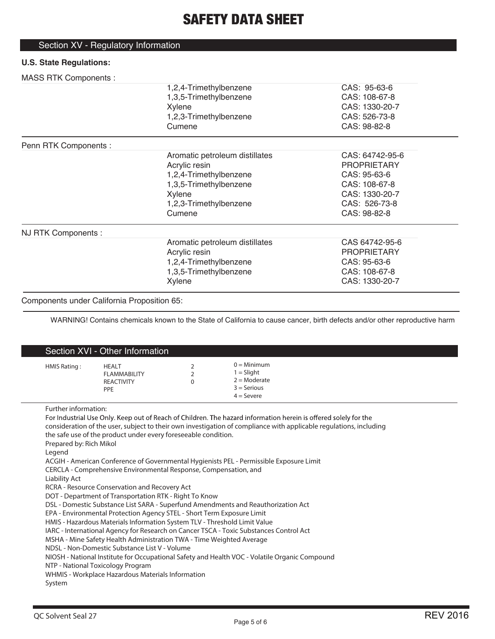### Section XV - Regulatory Information

### **U.S. State Regulations:**

### MASS RTK Components :

| 1                     |                                |                    |  |
|-----------------------|--------------------------------|--------------------|--|
|                       | 1,2,4-Trimethylbenzene         | CAS: 95-63-6       |  |
|                       | 1,3,5-Trimethylbenzene         | CAS: 108-67-8      |  |
|                       | Xylene                         | CAS: 1330-20-7     |  |
|                       | 1,2,3-Trimethylbenzene         | CAS: 526-73-8      |  |
|                       | Cumene                         | CAS: 98-82-8       |  |
| Penn RTK Components : |                                |                    |  |
|                       | Aromatic petroleum distillates | CAS: 64742-95-6    |  |
|                       | Acrylic resin                  | <b>PROPRIETARY</b> |  |
|                       | 1,2,4-Trimethylbenzene         | CAS: 95-63-6       |  |
|                       | 1,3,5-Trimethylbenzene         | CAS: 108-67-8      |  |
|                       | Xylene                         | CAS: 1330-20-7     |  |
|                       | 1,2,3-Trimethylbenzene         | CAS: 526-73-8      |  |
|                       | Cumene                         | CAS: 98-82-8       |  |
| NJ RTK Components :   |                                |                    |  |
|                       | Aromatic petroleum distillates | CAS 64742-95-6     |  |
|                       | Acrylic resin                  | <b>PROPRIETARY</b> |  |
|                       | 1,2,4-Trimethylbenzene         | CAS: 95-63-6       |  |
|                       | 1,3,5-Trimethylbenzene         | CAS: 108-67-8      |  |
|                       | Xylene                         | CAS: 1330-20-7     |  |
|                       |                                |                    |  |

### Components under California Proposition 65:

WARNING! Contains chemicals known to the State of California to cause cancer, birth defects and/or other reproductive harm

|                                                                                                                           | Section XVI - Other Information                                                                                                                                                                                                                                                                                                                                                                                                                                                                                                                                                                                                                                                                                                                                   |                                 |                                                                                                                                                                                                                                                                                                                                                                                                                                   |
|---------------------------------------------------------------------------------------------------------------------------|-------------------------------------------------------------------------------------------------------------------------------------------------------------------------------------------------------------------------------------------------------------------------------------------------------------------------------------------------------------------------------------------------------------------------------------------------------------------------------------------------------------------------------------------------------------------------------------------------------------------------------------------------------------------------------------------------------------------------------------------------------------------|---------------------------------|-----------------------------------------------------------------------------------------------------------------------------------------------------------------------------------------------------------------------------------------------------------------------------------------------------------------------------------------------------------------------------------------------------------------------------------|
| HMIS Rating:                                                                                                              | <b>HEALT</b><br><b>FLAMMABILITY</b><br><b>REACTIVITY</b><br>PPE                                                                                                                                                                                                                                                                                                                                                                                                                                                                                                                                                                                                                                                                                                   | 2<br>$\overline{2}$<br>$\Omega$ | $0 =$ Minimum<br>$1 =$ Slight<br>$2 =$ Moderate<br>$3 =$ Serious<br>$4 =$ Severe                                                                                                                                                                                                                                                                                                                                                  |
| Further information:<br>Prepared by: Rich Mikol<br>Legend<br>Liability Act<br>NTP - National Toxicology Program<br>System | the safe use of the product under every foreseeable condition.<br>CERCLA - Comprehensive Environmental Response, Compensation, and<br>RCRA - Resource Conservation and Recovery Act<br>DOT - Department of Transportation RTK - Right To Know<br>DSL - Domestic Substance List SARA - Superfund Amendments and Reauthorization Act<br>EPA - Environmental Protection Agency STEL - Short Term Exposure Limit<br>HMIS - Hazardous Materials Information System TLV - Threshold Limit Value<br>IARC - International Agency for Research on Cancer TSCA - Toxic Substances Control Act<br>MSHA - Mine Safety Health Administration TWA - Time Weighted Average<br>NDSL - Non-Domestic Substance List V - Volume<br>WHMIS - Workplace Hazardous Materials Information |                                 | For Industrial Use Only. Keep out of Reach of Children. The hazard information herein is offered solely for the<br>consideration of the user, subject to their own investigation of compliance with applicable regulations, including<br>ACGIH - American Conference of Governmental Hygienists PEL - Permissible Exposure Limit<br>NIOSH - National Institute for Occupational Safety and Health VOC - Volatile Organic Compound |